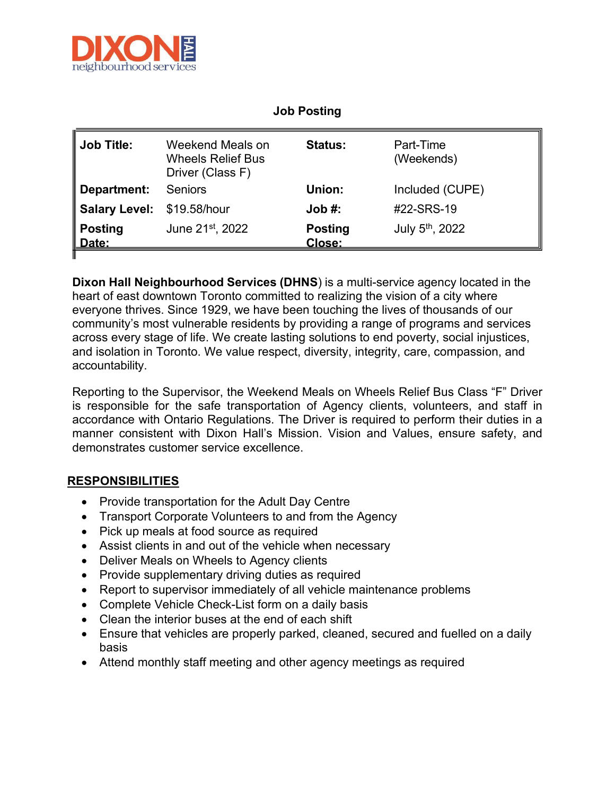

| <b>OUNT LOUISING</b>    |                                                                  |                          |                             |
|-------------------------|------------------------------------------------------------------|--------------------------|-----------------------------|
| <b>Job Title:</b>       | Weekend Meals on<br><b>Wheels Relief Bus</b><br>Driver (Class F) | <b>Status:</b>           | Part-Time<br>(Weekends)     |
| Department:             | <b>Seniors</b>                                                   | Union:                   | Included (CUPE)             |
| <b>Salary Level:</b>    | \$19.58/hour                                                     | Job #:                   | #22-SRS-19                  |
| <b>Posting</b><br>Date: | June 21st, 2022                                                  | <b>Posting</b><br>Close: | July 5 <sup>th</sup> , 2022 |
|                         |                                                                  |                          |                             |

**Dixon Hall Neighbourhood Services (DHNS**) is a multi-service agency located in the heart of east downtown Toronto committed to realizing the vision of a city where everyone thrives. Since 1929, we have been touching the lives of thousands of our community's most vulnerable residents by providing a range of programs and services across every stage of life. We create lasting solutions to end poverty, social injustices, and isolation in Toronto. We value respect, diversity, integrity, care, compassion, and accountability.

Reporting to the Supervisor, the Weekend Meals on Wheels Relief Bus Class "F" Driver is responsible for the safe transportation of Agency clients, volunteers, and staff in accordance with Ontario Regulations. The Driver is required to perform their duties in a manner consistent with Dixon Hall's Mission. Vision and Values, ensure safety, and demonstrates customer service excellence.

## **RESPONSIBILITIES**

- Provide transportation for the Adult Day Centre
- Transport Corporate Volunteers to and from the Agency
- Pick up meals at food source as required
- Assist clients in and out of the vehicle when necessary
- Deliver Meals on Wheels to Agency clients
- Provide supplementary driving duties as required
- Report to supervisor immediately of all vehicle maintenance problems
- Complete Vehicle Check-List form on a daily basis
- Clean the interior buses at the end of each shift
- Ensure that vehicles are properly parked, cleaned, secured and fuelled on a daily basis
- Attend monthly staff meeting and other agency meetings as required

## **Job Posting**